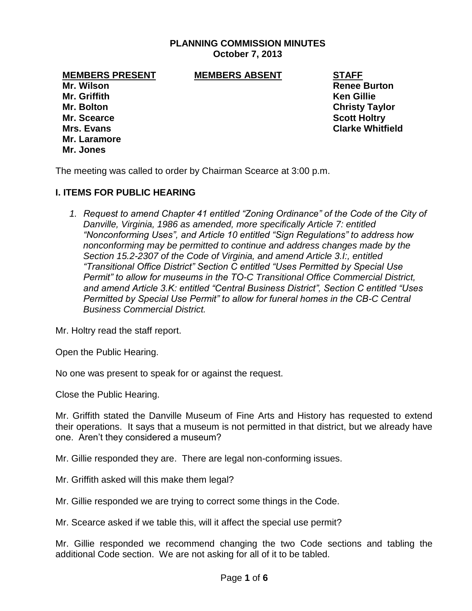# **PLANNING COMMISSION MINUTES October 7, 2013**

**MEMBERS PRESENT MEMBERS ABSENT STAFF**

**Mr. Griffith Ken Gillie Mr. Bolton Christy Taylor Mr. Scearce Scott Holtry Mr. Laramore Mr. Jones**

**Mr. Wilson Renee Burton Mrs. Evans Clarke Whitfield**

The meeting was called to order by Chairman Scearce at 3:00 p.m.

## **I. ITEMS FOR PUBLIC HEARING**

*1. Request to amend Chapter 41 entitled "Zoning Ordinance" of the Code of the City of Danville, Virginia, 1986 as amended, more specifically Article 7: entitled "Nonconforming Uses", and Article 10 entitled "Sign Regulations" to address how nonconforming may be permitted to continue and address changes made by the Section 15.2-2307 of the Code of Virginia, and amend Article 3.I:, entitled "Transitional Office District" Section C entitled "Uses Permitted by Special Use Permit" to allow for museums in the TO-C Transitional Office Commercial District, and amend Article 3.K: entitled "Central Business District", Section C entitled "Uses Permitted by Special Use Permit" to allow for funeral homes in the CB-C Central Business Commercial District.*

Mr. Holtry read the staff report.

Open the Public Hearing.

No one was present to speak for or against the request.

Close the Public Hearing.

Mr. Griffith stated the Danville Museum of Fine Arts and History has requested to extend their operations. It says that a museum is not permitted in that district, but we already have one. Aren't they considered a museum?

Mr. Gillie responded they are. There are legal non-conforming issues.

Mr. Griffith asked will this make them legal?

Mr. Gillie responded we are trying to correct some things in the Code.

Mr. Scearce asked if we table this, will it affect the special use permit?

Mr. Gillie responded we recommend changing the two Code sections and tabling the additional Code section. We are not asking for all of it to be tabled.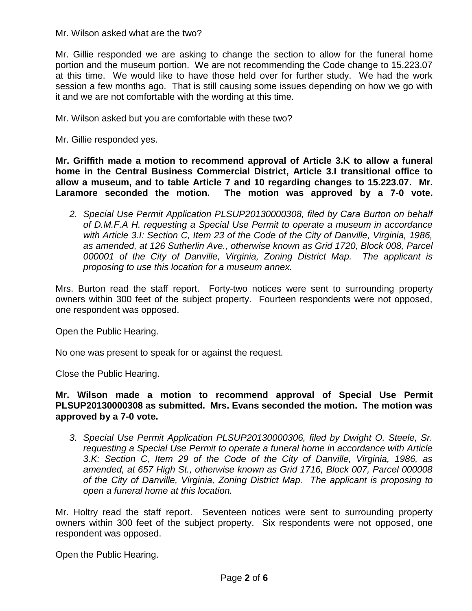Mr. Wilson asked what are the two?

Mr. Gillie responded we are asking to change the section to allow for the funeral home portion and the museum portion. We are not recommending the Code change to 15.223.07 at this time. We would like to have those held over for further study. We had the work session a few months ago. That is still causing some issues depending on how we go with it and we are not comfortable with the wording at this time.

Mr. Wilson asked but you are comfortable with these two?

Mr. Gillie responded yes.

**Mr. Griffith made a motion to recommend approval of Article 3.K to allow a funeral home in the Central Business Commercial District, Article 3.I transitional office to allow a museum, and to table Article 7 and 10 regarding changes to 15.223.07. Mr. Laramore seconded the motion. The motion was approved by a 7-0 vote.**

*2. Special Use Permit Application PLSUP20130000308, filed by Cara Burton on behalf of D.M.F.A H. requesting a Special Use Permit to operate a museum in accordance with Article 3.I: Section C, Item 23 of the Code of the City of Danville, Virginia, 1986, as amended, at 126 Sutherlin Ave., otherwise known as Grid 1720, Block 008, Parcel 000001 of the City of Danville, Virginia, Zoning District Map. The applicant is proposing to use this location for a museum annex.*

Mrs. Burton read the staff report. Forty-two notices were sent to surrounding property owners within 300 feet of the subject property. Fourteen respondents were not opposed, one respondent was opposed.

Open the Public Hearing.

No one was present to speak for or against the request.

Close the Public Hearing.

## **Mr. Wilson made a motion to recommend approval of Special Use Permit PLSUP20130000308 as submitted. Mrs. Evans seconded the motion. The motion was approved by a 7-0 vote.**

*3. Special Use Permit Application PLSUP20130000306, filed by Dwight O. Steele, Sr. requesting a Special Use Permit to operate a funeral home in accordance with Article 3.K: Section C, Item 29 of the Code of the City of Danville, Virginia, 1986, as amended, at 657 High St., otherwise known as Grid 1716, Block 007, Parcel 000008 of the City of Danville, Virginia, Zoning District Map. The applicant is proposing to open a funeral home at this location.*

Mr. Holtry read the staff report. Seventeen notices were sent to surrounding property owners within 300 feet of the subject property. Six respondents were not opposed, one respondent was opposed.

Open the Public Hearing.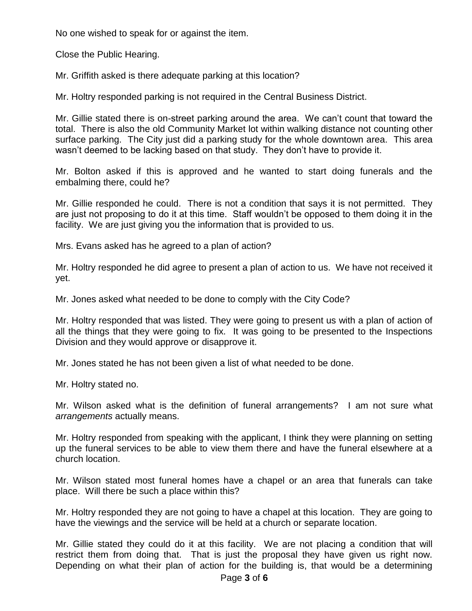No one wished to speak for or against the item.

Close the Public Hearing.

Mr. Griffith asked is there adequate parking at this location?

Mr. Holtry responded parking is not required in the Central Business District.

Mr. Gillie stated there is on-street parking around the area. We can't count that toward the total. There is also the old Community Market lot within walking distance not counting other surface parking. The City just did a parking study for the whole downtown area. This area wasn't deemed to be lacking based on that study. They don't have to provide it.

Mr. Bolton asked if this is approved and he wanted to start doing funerals and the embalming there, could he?

Mr. Gillie responded he could. There is not a condition that says it is not permitted. They are just not proposing to do it at this time. Staff wouldn't be opposed to them doing it in the facility. We are just giving you the information that is provided to us.

Mrs. Evans asked has he agreed to a plan of action?

Mr. Holtry responded he did agree to present a plan of action to us. We have not received it yet.

Mr. Jones asked what needed to be done to comply with the City Code?

Mr. Holtry responded that was listed. They were going to present us with a plan of action of all the things that they were going to fix. It was going to be presented to the Inspections Division and they would approve or disapprove it.

Mr. Jones stated he has not been given a list of what needed to be done.

Mr. Holtry stated no.

Mr. Wilson asked what is the definition of funeral arrangements? I am not sure what *arrangements* actually means.

Mr. Holtry responded from speaking with the applicant, I think they were planning on setting up the funeral services to be able to view them there and have the funeral elsewhere at a church location.

Mr. Wilson stated most funeral homes have a chapel or an area that funerals can take place. Will there be such a place within this?

Mr. Holtry responded they are not going to have a chapel at this location. They are going to have the viewings and the service will be held at a church or separate location.

Mr. Gillie stated they could do it at this facility. We are not placing a condition that will restrict them from doing that. That is just the proposal they have given us right now. Depending on what their plan of action for the building is, that would be a determining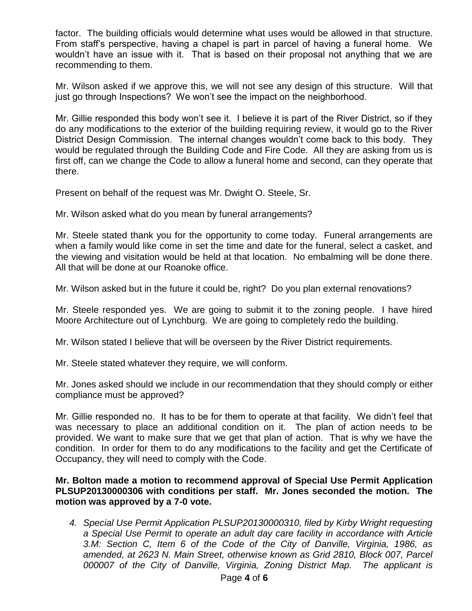factor. The building officials would determine what uses would be allowed in that structure. From staff's perspective, having a chapel is part in parcel of having a funeral home. We wouldn't have an issue with it. That is based on their proposal not anything that we are recommending to them.

Mr. Wilson asked if we approve this, we will not see any design of this structure. Will that just go through Inspections? We won't see the impact on the neighborhood.

Mr. Gillie responded this body won't see it. I believe it is part of the River District, so if they do any modifications to the exterior of the building requiring review, it would go to the River District Design Commission. The internal changes wouldn't come back to this body. They would be regulated through the Building Code and Fire Code. All they are asking from us is first off, can we change the Code to allow a funeral home and second, can they operate that there.

Present on behalf of the request was Mr. Dwight O. Steele, Sr.

Mr. Wilson asked what do you mean by funeral arrangements?

Mr. Steele stated thank you for the opportunity to come today. Funeral arrangements are when a family would like come in set the time and date for the funeral, select a casket, and the viewing and visitation would be held at that location. No embalming will be done there. All that will be done at our Roanoke office.

Mr. Wilson asked but in the future it could be, right? Do you plan external renovations?

Mr. Steele responded yes. We are going to submit it to the zoning people. I have hired Moore Architecture out of Lynchburg. We are going to completely redo the building.

Mr. Wilson stated I believe that will be overseen by the River District requirements.

Mr. Steele stated whatever they require, we will conform.

Mr. Jones asked should we include in our recommendation that they should comply or either compliance must be approved?

Mr. Gillie responded no. It has to be for them to operate at that facility. We didn't feel that was necessary to place an additional condition on it. The plan of action needs to be provided. We want to make sure that we get that plan of action. That is why we have the condition. In order for them to do any modifications to the facility and get the Certificate of Occupancy, they will need to comply with the Code.

**Mr. Bolton made a motion to recommend approval of Special Use Permit Application PLSUP20130000306 with conditions per staff. Mr. Jones seconded the motion. The motion was approved by a 7-0 vote.**

*4. Special Use Permit Application PLSUP20130000310, filed by Kirby Wright requesting a Special Use Permit to operate an adult day care facility in accordance with Article 3.M: Section C, Item 6 of the Code of the City of Danville, Virginia, 1986, as amended, at 2623 N. Main Street, otherwise known as Grid 2810, Block 007, Parcel 000007 of the City of Danville, Virginia, Zoning District Map. The applicant is*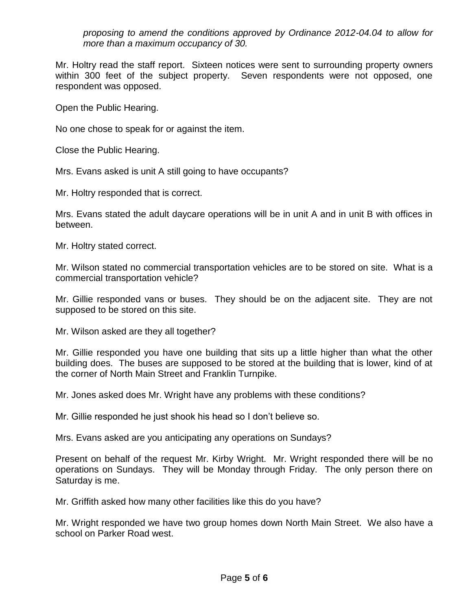*proposing to amend the conditions approved by Ordinance 2012-04.04 to allow for more than a maximum occupancy of 30.*

Mr. Holtry read the staff report. Sixteen notices were sent to surrounding property owners within 300 feet of the subject property. Seven respondents were not opposed, one respondent was opposed.

Open the Public Hearing.

No one chose to speak for or against the item.

Close the Public Hearing.

Mrs. Evans asked is unit A still going to have occupants?

Mr. Holtry responded that is correct.

Mrs. Evans stated the adult daycare operations will be in unit A and in unit B with offices in between.

Mr. Holtry stated correct.

Mr. Wilson stated no commercial transportation vehicles are to be stored on site. What is a commercial transportation vehicle?

Mr. Gillie responded vans or buses. They should be on the adjacent site. They are not supposed to be stored on this site.

Mr. Wilson asked are they all together?

Mr. Gillie responded you have one building that sits up a little higher than what the other building does. The buses are supposed to be stored at the building that is lower, kind of at the corner of North Main Street and Franklin Turnpike.

Mr. Jones asked does Mr. Wright have any problems with these conditions?

Mr. Gillie responded he just shook his head so I don't believe so.

Mrs. Evans asked are you anticipating any operations on Sundays?

Present on behalf of the request Mr. Kirby Wright. Mr. Wright responded there will be no operations on Sundays. They will be Monday through Friday. The only person there on Saturday is me.

Mr. Griffith asked how many other facilities like this do you have?

Mr. Wright responded we have two group homes down North Main Street. We also have a school on Parker Road west.